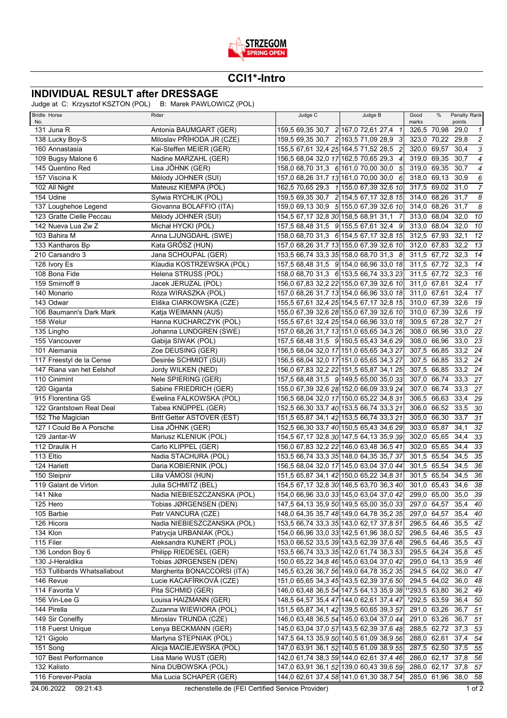

## **CCI1\*-Intro**

## **INDIVIDUAL RESULT after DRESSAGE**

Judge at C: Krzysztof KSZTON (POL) B: Marek PAWLOWICZ (POL)

| <b>Bridle Horse</b>             | Rider                                            | Judge C | Judge B                                                                             | Good                       | %           | Penalty Rank         |                           |
|---------------------------------|--------------------------------------------------|---------|-------------------------------------------------------------------------------------|----------------------------|-------------|----------------------|---------------------------|
| No.<br>131 Juna R               | Antonia BAUMGART (GER)                           |         | 159,5 69,35 30,7 2 167,0 72,61 27,4 1                                               | marks<br>326,5 70,98       |             | points<br>29,0       | $\mathbf{1}$              |
| 138 Lucky Boy-S                 | Miloslav PŘÍHODA JR (CZE)                        |         | 159,5 69,35 30,7 2 163,5 71,09 28,9 3                                               | 323,0 70,22                |             | 29,8                 | $\sqrt{2}$                |
| 160 Annastasia                  | Kai-Steffen MEIER (GER)                          |         | 155,5 67,61 32,4 25 164,5 71,52 28,5 2                                              | 320,0 69,57                |             | 30,4                 | $\ensuremath{\mathsf{3}}$ |
| 109 Bugsy Malone 6              | Nadine MARZAHL (GER)                             |         | 156,5 68,04 32,0 17 162,5 70,65 29,3 4                                              | 319,0 69,35                |             | 30,7                 | $\overline{4}$            |
| 145 Quentino Red                | Lisa JÖHNK (GER)                                 |         | 158,0 68,70 31,3 6 161,0 70,00 30,0 5                                               | 319.0 69.35                |             | 30,7                 | $\boldsymbol{4}$          |
| 157 Viscina K                   | Mélody JOHNER (SUI)                              |         | 157,0 68,26 31,7 13 161,0 70,00 30,0 6                                              | 318,0 69,13                |             | 30,9                 | 6                         |
| 102 All Night                   | Mateusz KIEMPA (POL)                             |         | 162,5 70,65 29,3 1 155,0 67,39 32,6 10                                              | 317,5 69,02                |             | 31,0                 | $\overline{7}$            |
| 154 Udine                       | Sylwia RYCHLIK (POL)                             |         | 159,5 69,35 30,7 2 154,5 67,17 32,8 15                                              | 314,0 68,26                |             | 31,7                 | $\overline{s}$            |
| 137 Loughehoe Legend            | Giovanna BOLAFFIO (ITA)                          |         | 159,0 69,13 30,9 5 155,0 67,39 32,6 10                                              | 314,0 68,26                |             | 31,7                 | $\overline{\mathcal{S}}$  |
| 123 Gratte Cielle Peccau        | Mélody JOHNER (SUI)                              |         | 154,5 67,17 32,8 30 158,5 68,91 31,1 7                                              | 313,0 68,04                |             | 32,0                 | 10                        |
| 142 Nueva Lua Zw Z              | Michał HYCKI (POL)                               |         | 157,5 68,48 31,5 9 155,5 67,61 32,4 9                                               | 313,0 68,04                |             | 32,0                 | 10                        |
| 103 Bahira M                    | Anna LJUNGDAHL (SWE)                             |         | 158,0 68,70 31,3 6 154,5 67,17 32,8 15                                              | 312,5 67,93                |             | 32,1                 | 12                        |
| 133 Kantharos Bp                | Kata GRÓSZ (HUN)                                 |         | 157,0 68,26 31,7 13 155,0 67,39 32,6 10                                             | 312,0 67,83                |             | 32,2                 | $\overline{13}$           |
| 210 Carsandro 3                 | Jana SCHOUPAL (GER)                              |         | 153,5 66,74 33,3 35 158,0 68,70 31,3 8                                              | 311,5 67,72                |             | 32,3                 | 14                        |
| 128 Ivory Es                    | Klaudia KOSTRZEWSKA (POL)                        |         | 157,5 68,48 31,5 9 154,0 66,96 33,0 18                                              | 311,5 67,72                |             | 32,3                 | 14                        |
| 108 Bona Fide                   | Helena STRUSS (POL)                              |         | 158,0 68,70 31,3 6 153,5 66,74 33,3 23                                              | 311,5 67,72                |             | 32,3                 | 16                        |
| 159 Smirnoff 9                  | Jacek JERUZAL (POL)                              |         | 156,0 67,83 32,2 22 155,0 67,39 32,6 10                                             | 311,0 67,61                |             | 32,4                 | $\overline{17}$           |
| 140 Monario                     | Róza WIRASZKA (POL)                              |         | 157,0 68,26 31,7 13 154,0 66,96 33,0 18                                             | 311,0 67,61                |             | 32,4                 | 17                        |
| 143 Odwar                       | Eliška CIARKOWSKA (CZE)                          |         | 155,5 67,61 32,4 25 154,5 67,17 32,8 15                                             | 310,0 67,39                |             | 32,6                 | $\overline{19}$           |
| 106 Baumann's Dark Mark         | Katja WEIMANN (AUS)                              |         | 155,0 67,39 32,6 28 155,0 67,39 32,6 10                                             | 310,0 67,39                |             | 32,6                 | $\overline{19}$           |
| 158 Welur                       | Hanna KUCHARCZYK (POL)                           |         | 155,5 67,61 32,4 25 154,0 66,96 33,0 18                                             | 309,5 67,28                |             | 32,7                 | $\overline{21}$           |
| 135 Lingho                      | Johanna LUNDGREN (SWE)                           |         | 157,0 68,26 31,7 13 151,0 65,65 34,3 26                                             | 308,0 66,96                |             | 33,0                 | - 22                      |
| 155 Vancouver                   | Gabija SIWAK (POL)                               |         | 157,5 68,48 31,5 9 150,5 65,43 34,6 29                                              | 308,0 66,96                |             | 33,0                 | 23                        |
| 101 Alemania                    | Zoe DEUSING (GER)                                |         | 156,5 68,04 32,0 17 151,0 65,65 34,3 27                                             | 307,5 66,85                |             | 33,2 24              |                           |
| 117 Freestyl de la Cense        | Desirée SCHMIDT (SUI)                            |         | 156,5 68,04 32,0 17 151,0 65,65 34,3 27                                             | 307,5 66,85                |             | 33,2                 | 24                        |
| 147 Riana van het Eelshof       | Jordy WILKEN (NED)                               |         | 156,0 67,83 32,2 22 151,5 65,87 34,1 25                                             | 307,5 66,85                |             | 33,2 24              |                           |
| 110 Cinimint                    | Nele SPIERING (GER)                              |         | 157,5 68,48 31,5 9 149,5 65,00 35,0 33                                              | 307,0 66,74                |             | 33,3                 | 27                        |
| 120 Giganta                     | Sabine FRIEDRICH (GER)                           |         | 155,0 67,39 32,6 28 152,0 66,09 33,9 24                                             | 307,0 66,74                |             | $33,3$ 27            |                           |
| 915 Florentina GS               | Ewelina FALKOWSKA (POL)                          |         | 156,5 68,04 32,0 17 150,0 65,22 34,8 31                                             | 306,5 66,63                |             | 33,4                 | 29                        |
| 122 Grantstown Real Deal        | Tabea KNÜPPEL (GER)                              |         | 152,5 66,30 33,7 40 153,5 66,74 33,3 21                                             |                            | 306,0 66,52 | 33,5                 | -30                       |
| 152 The Magician                | Britt Getter ASTOVER (EST)                       |         | 151,5 65,87 34,1 42 153,5 66,74 33,3 21                                             | 305,0 66,30                |             | 33,7                 | 31                        |
| 127 I Could Be A Porsche        | Lisa JÖHNK (GER)                                 |         | 152,5 66,30 33,7 40 150,5 65,43 34,6 29                                             | 303,0 65,87                |             | 34,1                 | 32                        |
| 129 Jantar-W                    | Mariusz KLENIUK (POL)                            |         | 154,5 67,17 32,8 30 147,5 64,13 35,9 39                                             | 302,0 65,65                |             | 34,4                 | 33                        |
| 112 Draulik H                   | Carlo KLIPPEL (GER)                              |         | 156,0 67,83 32,2 22 146,0 63,48 36,5 41                                             | 302,0 65,65                |             | 34,4                 | 33                        |
| 113 Eltio                       | Nadia STACHURA (POL)                             |         | 153,5 66,74 33,3 35 148,0 64,35 35,7 37                                             | 301,5 65,54                |             | 34,5                 | 35                        |
| 124 Hariett                     | Daria KOBIERNIK (POL)                            |         | 156,5 68,04 32,0 17 145,0 63,04 37,0 44                                             | 301,5 65,54                |             | 34,5                 | 36                        |
| 150 Sleipnir                    | Lilla VÁMOSI (HUN)                               |         | 151,5 65,87 34,1 42 150,0 65,22 34,8 31                                             | 301,5 65,54                |             | 34,5                 | 36                        |
| 119 Galant de Virton            | Julia SCHMITZ (BEL)                              |         | 154,5 67,17 32,8 30 146,5 63,70 36,3 40                                             |                            |             | 301,0 65,43 34,6 38  |                           |
|                                 | Nadia NIEBIESZCZANSKA (POL)                      |         |                                                                                     |                            |             | 299,0 65,00 35,0 39  |                           |
| 141 Nike<br>125 Hero            | Tobias JØRGENSEN (DEN)                           |         | 154,0 66,96 33,0 33 145,0 63,04 37,0 42 <br>147,5 64,13 35,9 50 149,5 65,00 35,0 33 | 297,0 64,57                |             | 35,4 40              |                           |
| 105 Barbie                      | Petr VANCURA (CZE)                               |         | 148,0 64,35 35,7 48 149,0 64,78 35,2 35                                             | 297,0 64,57                |             | 35,4 40              |                           |
| 126 Hicora                      | Nadia NIEBIESZCZANSKA (POL)                      |         | 153,5 66,74 33,3 35 143,0 62,17 37,8 51                                             | 296,5 64,46                |             | 35,5 42              |                           |
| 134 Klon                        | Patrycja URBANIAK (POL)                          |         | 154,0 66,96 33,0 33 142,5 61,96 38,0 52                                             | 296,5 64,46                |             | 35,5 43              |                           |
| 115 Filer                       | Aleksandra KUNERT (POL)                          |         | 153,0 66,52 33,5 39 143,5 62,39 37,6 48                                             | 296,5 64,46                |             | 35,5 43              |                           |
| 136 London Boy 6                | Philipp RIEDESEL (GER)                           |         | 153,5 66,74 33,3 35 142,0 61,74 38,3 53                                             | 295,5 64,24                |             | 35,8 45              |                           |
| 130 J-Heraldika                 | Tobias JØRGENSEN (DEN)                           |         | 150,0 65,22 34,8 46 145,0 63,04 37,0 42                                             | 295,0 64,13                |             | 35,9 46              |                           |
| 153 Tullibards Whatsallabout    | Margherita BONACCORSI (ITA)                      |         | 145,5 63,26 36,7 56 149,0 64,78 35,2 35                                             | 294,5 64,02                |             | 36,0 $\overline{47}$ |                           |
| 146 Revue                       | Lucie KACAFÍRKOVÁ (CZE)                          |         | 151,0 65,65 34,3 45 143,5 62,39 37,6 50                                             | 294,5 64,02                |             | 36,0 48              |                           |
| 114 Favorita V                  | Pita SCHMID (GER)                                |         | 146,0 63,48 36,5 54 147,5 64,13 35,9 38 11293,5 63,80                               |                            |             | 36,2 49              |                           |
| 156 Vin-Lee G                   | Louisa HAIZMANN (GER)                            |         |                                                                                     |                            |             |                      |                           |
|                                 |                                                  |         | 148,5 64,57 35,4 47 144,0 62,61 37,4 47                                             | 1292,5 63,59               |             | 36,4 50              |                           |
| 144 Pirella<br>149 Sir Conelfly | Zuzanna WIEWIORA (POL)<br>Miroslav TRUNDA (CZE)  |         | 151,5 65,87 34,1 42 139,5 60,65 39,3 57<br>146,0 63,48 36,5 54 145,0 63,04 37,0 44  | 291,0 63,26<br>291,0 63,26 |             | 36,7 51<br>36,7      | 51                        |
| 118 Fuerst Unique               | Lenya BECKMANN (GER)                             |         |                                                                                     | 288,5 62,72                |             | 37,3 53              |                           |
|                                 |                                                  |         | 145,0 63,04 37,0 57 143,5 62,39 37,6 48                                             |                            |             |                      |                           |
| 121 Gigolo                      | Martyna STEPNIAK (POL)                           |         | 147,5 64,13 35,9 50 140,5 61,09 38,9 56                                             | 288,0 62,61                |             | 37,4 54              |                           |
| 151 Song                        | Alicja MACIEJEWSKA (POL)                         |         | 147,0 63,91 36,1 52 140,5 61,09 38,9 55                                             | 287,5 62,50                |             | 37,5 55              |                           |
| 107 Best Performance            | Lisa Marie WUST (GER)                            |         | 142,0 61,74 38,3 59 144,0 62,61 37,4 46                                             | 286,0 62,17                |             | 37,8 56              |                           |
| 132 Kalisto                     | Nina DUBOWSKA (POL)                              |         | 147,0 63,91 36,1 52 139,0 60,43 39,6 59                                             |                            |             | 286,0 62,17 37,8 57  |                           |
| 116 Forever-Paola               | Mia Lucia SCHAPER (GER)                          |         | 144,0 62,61 37,4 58 141,0 61,30 38,7 54                                             | 285,0 61,96                |             | 38,0 58              |                           |
| 24.06.2022<br>09:21:43          | rechenstelle.de (FEI Certified Service Provider) |         |                                                                                     |                            |             |                      | $1$ of $2$                |